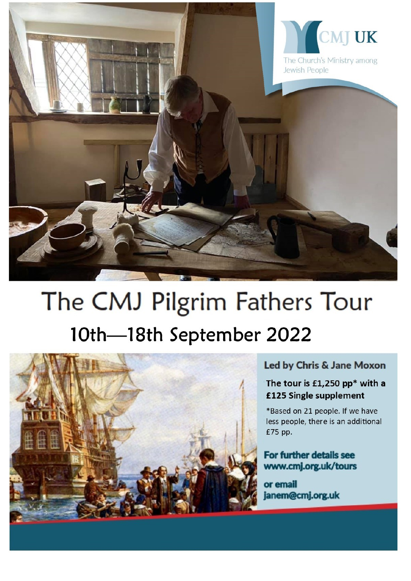

# The CMJ Pilgrim Fathers Tour 10th-18th September 2022



#### Led by Chris & Jane Moxon

# The tour is £1,250 pp\* with a £125 Single supplement

\*Based on 21 people. If we have less people, there is an additional £75 pp.

#### For further details see www.cmj.org.uk/tours

or email janem@cmj.org.uk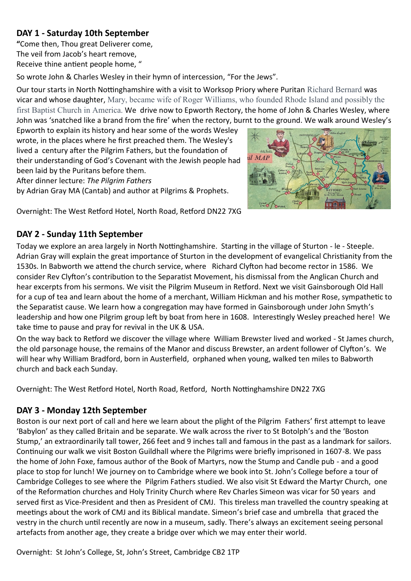## **DAY 1 - Saturday 10th September**

**"**Come then, Thou great Deliverer come, The veil from Jacob's heart remove, Receive thine antient people home, "

So wrote John & Charles Wesley in their hymn of intercession, "For the Jews".

Our tour starts in North Nottinghamshire with a visit to Worksop Priory where Puritan Richard Bernard was vicar and whose daughter, Mary, became wife of Roger Williams, who founded Rhode Island and possibly the first Baptist Church in America. We drive now to Epworth Rectory, the home of John & Charles Wesley, where John was 'snatched like a brand from the fire' when the rectory, burnt to the ground. We walk around Wesley's

Epworth to explain its history and hear some of the words Wesley wrote, in the places where he first preached them. The Wesley's lived a century after the Pilgrim Fathers, but the foundation of their understanding of God's Covenant with the Jewish people had been laid by the Puritans before them.

After dinner lecture: *The Pilgrim Fathers* 

by Adrian Gray MA (Cantab) and author at Pilgrims & Prophets.



Overnight: The West Retford Hotel, North Road, Retford DN22 7XG

#### **DAY 2 - Sunday 11th September**

Today we explore an area largely in North Nottinghamshire. Starting in the village of Sturton - le - Steeple. Adrian Gray will explain the great importance of Sturton in the development of evangelical Christianity from the 1530s. In Babworth we attend the church service, where Richard Clyfton had become rector in 1586. We consider Rev Clyfton's contribution to the Separatist Movement, his dismissal from the Anglican Church and hear excerpts from his sermons. We visit the Pilgrim Museum in Retford. Next we visit Gainsborough Old Hall for a cup of tea and learn about the home of a merchant, William Hickman and his mother Rose, sympathetic to the Separatist cause. We learn how a congregation may have formed in Gainsborough under John Smyth's leadership and how one Pilgrim group left by boat from here in 1608. Interestingly Wesley preached here! We take time to pause and pray for revival in the UK & USA.

On the way back to Retford we discover the village where William Brewster lived and worked - St James church, the old parsonage house, the remains of the Manor and discuss Brewster, an ardent follower of Clyfton's. We will hear why William Bradford, born in Austerfield, orphaned when young, walked ten miles to Babworth church and back each Sunday.

Overnight: The West Retford Hotel, North Road, Retford, North Nottinghamshire DN22 7XG

#### **DAY 3 - Monday 12th September**

Boston is our next port of call and here we learn about the plight of the Pilgrim Fathers' first attempt to leave 'Babylon' as they called Britain and be separate. We walk across the river to St Botolph's and the 'Boston Stump,' an extraordinarily tall tower, 266 feet and 9 inches tall and famous in the past as a landmark for sailors. Continuing our walk we visit Boston Guildhall where the Pilgrims were briefly imprisoned in 1607-8. We pass the home of John Foxe, famous author of the Book of Martyrs, now the Stump and Candle pub - and a good place to stop for lunch! We journey on to Cambridge where we book into St. John's College before a tour of Cambridge Colleges to see where the Pilgrim Fathers studied. We also visit St Edward the Martyr Church, one of the Reformation churches and Holy Trinity Church where Rev Charles Simeon was vicar for 50 years and served first as Vice-President and then as President of CMJ. This tireless man travelled the country speaking at meetings about the work of CMJ and its Biblical mandate. Simeon's brief case and umbrella that graced the vestry in the church until recently are now in a museum, sadly. There's always an excitement seeing personal artefacts from another age, they create a bridge over which we may enter their world.

Overnight: St John's College, St, John's Street, Cambridge CB2 1TP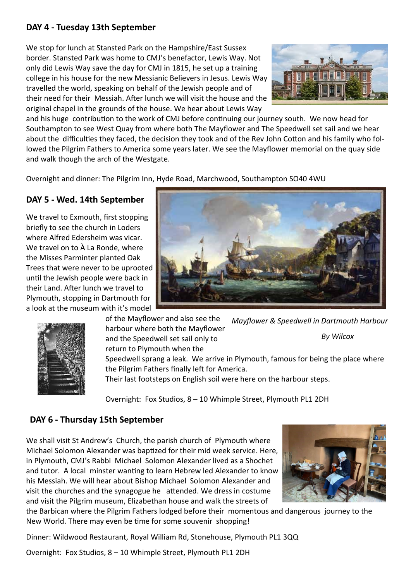#### **DAY 4 - Tuesday 13th September**

We stop for lunch at Stansted Park on the Hampshire/East Sussex border. Stansted Park was home to CMJ's benefactor, Lewis Way. Not only did Lewis Way save the day for CMJ in 1815, he set up a training college in his house for the new Messianic Believers in Jesus. Lewis Way travelled the world, speaking on behalf of the Jewish people and of their need for their Messiah. After lunch we will visit the house and the original chapel in the grounds of the house. We hear about Lewis Way



and his huge contribution to the work of CMJ before continuing our journey south. We now head for Southampton to see West Quay from where both The Mayflower and The Speedwell set sail and we hear about the difficulties they faced, the decision they took and of the Rev John Cotton and his family who followed the Pilgrim Fathers to America some years later. We see the Mayflower memorial on the quay side and walk though the arch of the Westgate.

Overnight and dinner: The Pilgrim Inn, Hyde Road, Marchwood, Southampton SO40 4WU

## **DAY 5 - Wed. 14th September**

We travel to Exmouth, first stopping briefly to see the church in Loders where Alfred Edersheim was vicar. We travel on to À La Ronde, where the Misses Parminter planted Oak Trees that were never to be uprooted until the Jewish people were back in their Land. After lunch we travel to Plymouth, stopping in Dartmouth for a look at the museum with it's model



of the Mayflower and also see the harbour where both the Mayflower and the Speedwell set sail only to *Mayflower & Speedwell in Dartmouth Harbour By Wilcox*

return to Plymouth when the

Speedwell sprang a leak. We arrive in Plymouth, famous for being the place where the Pilgrim Fathers finally left for America.

Their last footsteps on English soil were here on the harbour steps.

Overnight: Fox Studios, 8 – 10 Whimple Street, Plymouth PL1 2DH

#### **DAY 6 - Thursday 15th September**

We shall visit St Andrew's Church, the parish church of Plymouth where Michael Solomon Alexander was baptized for their mid week service. Here, in Plymouth, CMJ's Rabbi Michael Solomon Alexander lived as a Shochet and tutor. A local minster wanting to learn Hebrew led Alexander to know his Messiah. We will hear about Bishop Michael Solomon Alexander and visit the churches and the synagogue he attended. We dress in costume and visit the Pilgrim museum, Elizabethan house and walk the streets of



the Barbican where the Pilgrim Fathers lodged before their momentous and dangerous journey to the New World. There may even be time for some souvenir shopping!

Dinner: Wildwood Restaurant, Royal William Rd, Stonehouse, Plymouth PL1 3QQ

Overnight: Fox Studios, 8 – 10 Whimple Street, Plymouth PL1 2DH